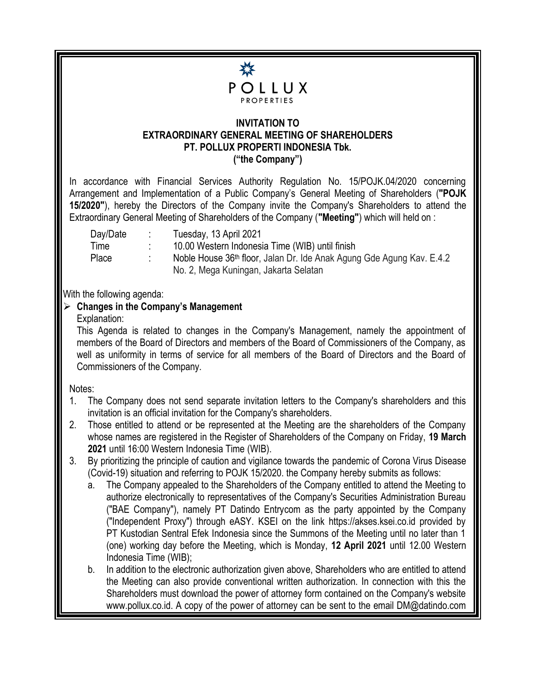

## **INVITATION TO EXTRAORDINARY GENERAL MEETING OF SHAREHOLDERS PT. POLLUX PROPERTI INDONESIA Tbk. ("the Company")**

In accordance with Financial Services Authority Regulation No. 15/POJK.04/2020 concerning Arrangement and Implementation of a Public Company's General Meeting of Shareholders (**"POJK 15/2020"**), hereby the Directors of the Company invite the Company's Shareholders to attend the Extraordinary General Meeting of Shareholders of the Company (**"Meeting"**) which will held on :

| Day/Date | Tuesday, 13 April 2021                                                |
|----------|-----------------------------------------------------------------------|
| Time     | 10.00 Western Indonesia Time (WIB) until finish                       |
| Place    | Noble House 36th floor, Jalan Dr. Ide Anak Agung Gde Agung Kav. E.4.2 |
|          | No. 2, Mega Kuningan, Jakarta Selatan                                 |

With the following agenda:

## **Changes in the Company's Management**

Explanation:

This Agenda is related to changes in the Company's Management, namely the appointment of members of the Board of Directors and members of the Board of Commissioners of the Company, as well as uniformity in terms of service for all members of the Board of Directors and the Board of Commissioners of the Company.

Notes:

- 1. The Company does not send separate invitation letters to the Company's shareholders and this invitation is an official invitation for the Company's shareholders.
- 2. Those entitled to attend or be represented at the Meeting are the shareholders of the Company whose names are registered in the Register of Shareholders of the Company on Friday, **19 March 2021** until 16:00 Western Indonesia Time (WIB).
- 3. By prioritizing the principle of caution and vigilance towards the pandemic of Corona Virus Disease (Covid-19) situation and referring to POJK 15/2020. the Company hereby submits as follows:
	- a. The Company appealed to the Shareholders of the Company entitled to attend the Meeting to authorize electronically to representatives of the Company's Securities Administration Bureau ("BAE Company"), namely PT Datindo Entrycom as the party appointed by the Company ("Independent Proxy") through eASY. KSEI on the link https://akses.ksei.co.id provided by PT Kustodian Sentral Efek Indonesia since the Summons of the Meeting until no later than 1 (one) working day before the Meeting, which is Monday, **12 April 2021** until 12.00 Western Indonesia Time (WIB);
	- b. In addition to the electronic authorization given above, Shareholders who are entitled to attend the Meeting can also provide conventional written authorization. In connection with this the Shareholders must download the power of attorney form contained on the Company's website www.pollux.co.id. A copy of the power of attorney can be sent to the email DM@datindo.com